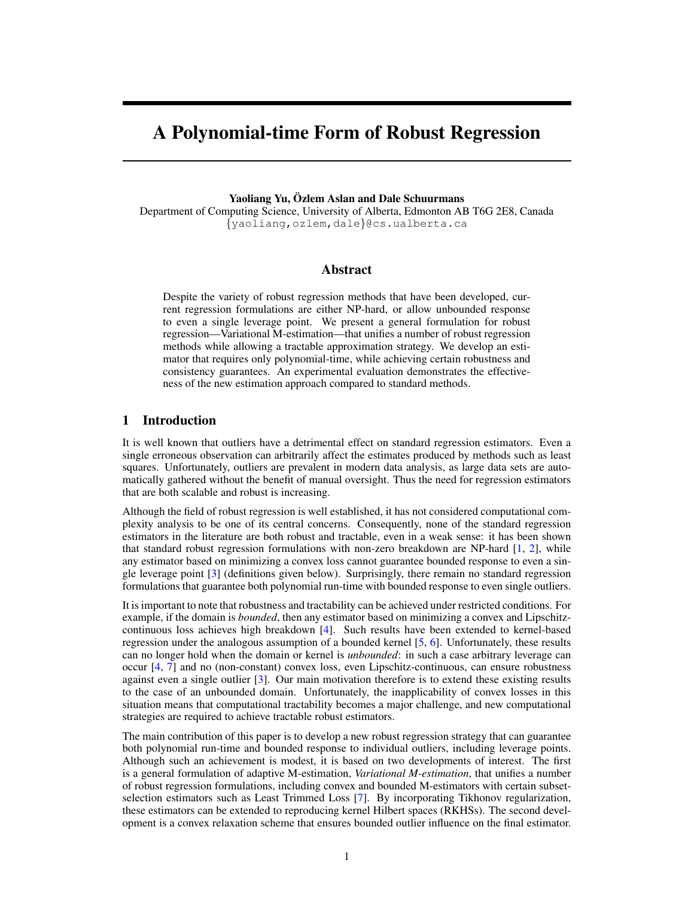# A Polynomial-time Form of Robust Regression

Yaoliang Yu, Özlem Aslan and Dale Schuurmans

Department of Computing Science, University of Alberta, Edmonton AB T6G 2E8, Canada {yaoliang,ozlem,dale}@cs.ualberta.ca

## Abstract

Despite the variety of robust regression methods that have been developed, current regression formulations are either NP-hard, or allow unbounded response to even a single leverage point. We present a general formulation for robust regression—Variational M-estimation—that unifies a number of robust regression methods while allowing a tractable approximation strategy. We develop an estimator that requires only polynomial-time, while achieving certain robustness and consistency guarantees. An experimental evaluation demonstrates the effectiveness of the new estimation approach compared to standard methods.

## 1 Introduction

It is well known that outliers have a detrimental effect on standard regression estimators. Even a single erroneous observation can arbitrarily affect the estimates produced by methods such as least squares. Unfortunately, outliers are prevalent in modern data analysis, as large data sets are automatically gathered without the benefit of manual oversight. Thus the need for regression estimators that are both scalable and robust is increasing.

Although the field of robust regression is well established, it has not considered computational complexity analysis to be one of its central concerns. Consequently, none of the standard regression estimators in the literature are both robust and tractable, even in a weak sense: it has been shown that standard robust regression formulations with non-zero breakdown are NP-hard  $[1, 2]$ , while any estimator based on minimizing a convex loss cannot guarantee bounded response to even a single leverage point [3] (definitions given below). Surprisingly, there remain no standard regression formulations that guarantee both polynomial run-time with bounded response to even single outliers.

It is important to note that robustness and tractability can be achieved under restricted conditions. For example, if the domain is *bounded*, then any estimator based on minimizing a convex and Lipschitzcontinuous loss achieves high breakdown [4]. Such results have been extended to kernel-based regression under the analogous assumption of a bounded kernel [5, 6]. Unfortunately, these results can no longer hold when the domain or kernel is *unbounded*: in such a case arbitrary leverage can occur [4, 7] and no (non-constant) convex loss, even Lipschitz-continuous, can ensure robustness against even a single outlier [3]. Our main motivation therefore is to extend these existing results to the case of an unbounded domain. Unfortunately, the inapplicability of convex losses in this situation means that computational tractability becomes a major challenge, and new computational strategies are required to achieve tractable robust estimators.

The main contribution of this paper is to develop a new robust regression strategy that can guarantee both polynomial run-time and bounded response to individual outliers, including leverage points. Although such an achievement is modest, it is based on two developments of interest. The first is a general formulation of adaptive M-estimation, *Variational M-estimation*, that unifies a number of robust regression formulations, including convex and bounded M-estimators with certain subsetselection estimators such as Least Trimmed Loss [7]. By incorporating Tikhonov regularization, these estimators can be extended to reproducing kernel Hilbert spaces (RKHSs). The second development is a convex relaxation scheme that ensures bounded outlier influence on the final estimator.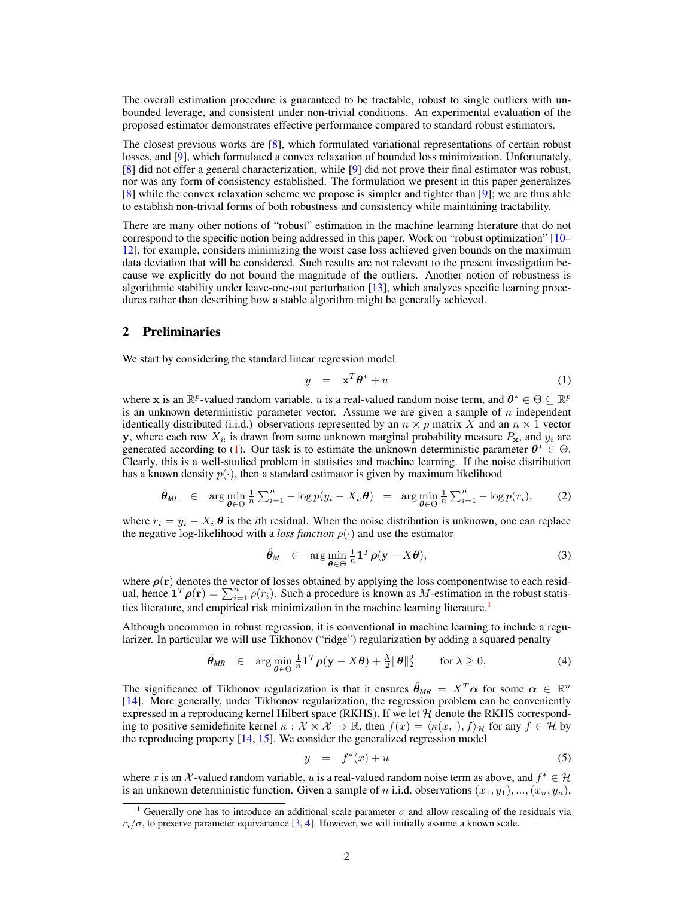The overall estimation procedure is guaranteed to be tractable, robust to single outliers with unbounded leverage, and consistent under non-trivial conditions. An experimental evaluation of the proposed estimator demonstrates effective performance compared to standard robust estimators.

The closest previous works are [8], which formulated variational representations of certain robust losses, and [9], which formulated a convex relaxation of bounded loss minimization. Unfortunately, [8] did not offer a general characterization, while [9] did not prove their final estimator was robust, nor was any form of consistency established. The formulation we present in this paper generalizes [8] while the convex relaxation scheme we propose is simpler and tighter than [9]; we are thus able to establish non-trivial forms of both robustness and consistency while maintaining tractability.

There are many other notions of "robust" estimation in the machine learning literature that do not correspond to the specific notion being addressed in this paper. Work on "robust optimization" [10– 12], for example, considers minimizing the worst case loss achieved given bounds on the maximum data deviation that will be considered. Such results are not relevant to the present investigation because we explicitly do not bound the magnitude of the outliers. Another notion of robustness is algorithmic stability under leave-one-out perturbation [13], which analyzes specific learning procedures rather than describing how a stable algorithm might be generally achieved.

#### 2 Preliminaries

We start by considering the standard linear regression model

$$
y = \mathbf{x}^T \boldsymbol{\theta}^* + u \tag{1}
$$

where x is an  $\mathbb{R}^p$ -valued random variable, u is a real-valued random noise term, and  $\theta^* \in \Theta \subseteq \mathbb{R}^p$ is an unknown deterministic parameter vector. Assume we are given a sample of  $n$  independent identically distributed (i.i.d.) observations represented by an  $n \times p$  matrix X and an  $n \times 1$  vector y, where each row  $X_{i}$  is drawn from some unknown marginal probability measure  $P_{\mathbf{x}}$ , and  $y_i$  are generated according to (1). Our task is to estimate the unknown deterministic parameter  $\theta^* \in \Theta$ . Clearly, this is a well-studied problem in statistics and machine learning. If the noise distribution has a known density  $p(\cdot)$ , then a standard estimator is given by maximum likelihood

$$
\hat{\theta}_{ML} \in \arg\min_{\theta \in \Theta} \frac{1}{n} \sum_{i=1}^n -\log p(y_i - X_i, \theta) = \arg\min_{\theta \in \Theta} \frac{1}{n} \sum_{i=1}^n -\log p(r_i), \tag{2}
$$

where  $r_i = y_i - X_i \theta$  is the *i*th residual. When the noise distribution is unknown, one can replace the negative log-likelihood with a *loss function*  $\rho(\cdot)$  and use the estimator

$$
\hat{\theta}_M \in \arg\min_{\theta \in \Theta} \frac{1}{n} \mathbf{1}^T \rho(\mathbf{y} - X\theta), \tag{3}
$$

where  $\rho(r)$  denotes the vector of losses obtained by applying the loss componentwise to each residual, hence  $\mathbf{1}^T \boldsymbol{\rho}(\mathbf{r}) = \sum_{i=1}^n \rho(r_i)$ . Such a procedure is known as M-estimation in the robust statistics literature, and empirical risk minimization in the machine learning literature.<sup>1</sup>

Although uncommon in robust regression, it is conventional in machine learning to include a regularizer. In particular we will use Tikhonov ("ridge") regularization by adding a squared penalty

$$
\hat{\theta}_{MR} \in \arg\min_{\theta \in \Theta} \frac{1}{n} \mathbf{1}^T \rho(\mathbf{y} - X\theta) + \frac{\lambda}{2} \|\theta\|_2^2 \quad \text{for } \lambda \ge 0,
$$
 (4)

The significance of Tikhonov regularization is that it ensures  $\hat{\theta}_{MR} = X^T \alpha$  for some  $\alpha \in \mathbb{R}^n$ [14]. More generally, under Tikhonov regularization, the regression problem can be conveniently expressed in a reproducing kernel Hilbert space (RKHS). If we let  $H$  denote the RKHS corresponding to positive semidefinite kernel  $\kappa : \mathcal{X} \times \mathcal{X} \to \mathbb{R}$ , then  $f(x) = \langle \kappa(x, \cdot), f \rangle_{\mathcal{H}}$  for any  $f \in \mathcal{H}$  by the reproducing property [14, 15]. We consider the generalized regression model

$$
y = f^*(x) + u \tag{5}
$$

where x is an X-valued random variable, u is a real-valued random noise term as above, and  $f^* \in \mathcal{H}$ is an unknown deterministic function. Given a sample of n i.i.d. observations  $(x_1, y_1), ..., (x_n, y_n)$ ,

<sup>&</sup>lt;sup>1</sup> Generally one has to introduce an additional scale parameter  $\sigma$  and allow rescaling of the residuals via  $r_i/\sigma$ , to preserve parameter equivariance [3, 4]. However, we will initially assume a known scale.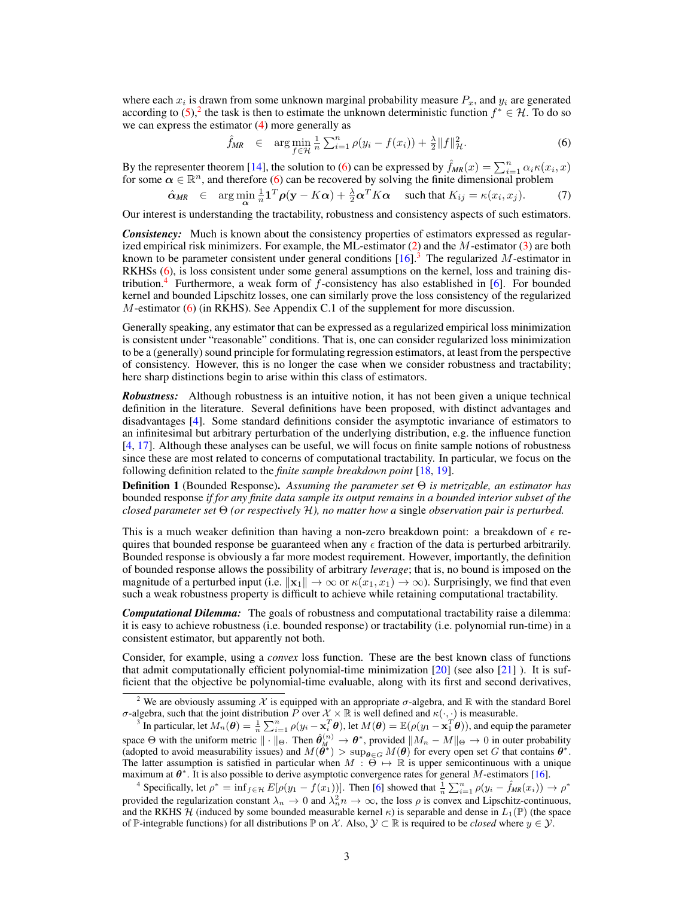where each  $x_i$  is drawn from some unknown marginal probability measure  $P_x$ , and  $y_i$  are generated according to  $(5)$ ,<sup>2</sup> the task is then to estimate the unknown deterministic function  $f^* \in \mathcal{H}$ . To do so we can express the estimator (4) more generally as

$$
\hat{f}_{MR} \in \arg\min_{f \in \mathcal{H}} \frac{1}{n} \sum_{i=1}^n \rho(y_i - f(x_i)) + \frac{\lambda}{2} ||f||_{\mathcal{H}}^2.
$$
 (6)

By the representer theorem [14], the solution to (6) can be expressed by  $\hat{f}_{MR}(x) = \sum_{i=1}^{n} \alpha_i \kappa(x_i, x)$ for some  $\alpha \in \mathbb{R}^n$ , and therefore (6) can be recovered by solving the finite dimensional problem

$$
\hat{\alpha}_{MR} \in \arg\min_{\mathbf{\alpha}} \frac{1}{n} \mathbf{1}^T \rho(\mathbf{y} - K\mathbf{\alpha}) + \frac{\lambda}{2} \mathbf{\alpha}^T K \mathbf{\alpha} \quad \text{such that } K_{ij} = \kappa(x_i, x_j). \tag{7}
$$

Our interest is understanding the tractability, robustness and consistency aspects of such estimators.

*Consistency:* Much is known about the consistency properties of estimators expressed as regularized empirical risk minimizers. For example, the ML-estimator  $(2)$  and the M-estimator  $(3)$  are both known to be parameter consistent under general conditions  $[16]$ .<sup>3</sup> The regularized M-estimator in RKHSs (6), is loss consistent under some general assumptions on the kernel, loss and training distribution.<sup>4</sup> Furthermore, a weak form of f-consistency has also established in [6]. For bounded kernel and bounded Lipschitz losses, one can similarly prove the loss consistency of the regularized M-estimator (6) (in RKHS). See Appendix C.1 of the supplement for more discussion.

Generally speaking, any estimator that can be expressed as a regularized empirical loss minimization is consistent under "reasonable" conditions. That is, one can consider regularized loss minimization to be a (generally) sound principle for formulating regression estimators, at least from the perspective of consistency. However, this is no longer the case when we consider robustness and tractability; here sharp distinctions begin to arise within this class of estimators.

*Robustness:* Although robustness is an intuitive notion, it has not been given a unique technical definition in the literature. Several definitions have been proposed, with distinct advantages and disadvantages [4]. Some standard definitions consider the asymptotic invariance of estimators to an infinitesimal but arbitrary perturbation of the underlying distribution, e.g. the influence function [4, 17]. Although these analyses can be useful, we will focus on finite sample notions of robustness since these are most related to concerns of computational tractability. In particular, we focus on the following definition related to the *finite sample breakdown point* [18, 19].

Definition 1 (Bounded Response). *Assuming the parameter set* Θ *is metrizable, an estimator has* bounded response *if for any finite data sample its output remains in a bounded interior subset of the closed parameter set* Θ *(or respectively* H*), no matter how a* single *observation pair is perturbed.*

This is a much weaker definition than having a non-zero breakdown point: a breakdown of  $\epsilon$  requires that bounded response be guaranteed when any  $\epsilon$  fraction of the data is perturbed arbitrarily. Bounded response is obviously a far more modest requirement. However, importantly, the definition of bounded response allows the possibility of arbitrary *leverage*; that is, no bound is imposed on the magnitude of a perturbed input (i.e.  $\|\mathbf{x}_1\| \to \infty$  or  $\kappa(x_1, x_1) \to \infty$ ). Surprisingly, we find that even such a weak robustness property is difficult to achieve while retaining computational tractability.

*Computational Dilemma:* The goals of robustness and computational tractability raise a dilemma: it is easy to achieve robustness (i.e. bounded response) or tractability (i.e. polynomial run-time) in a consistent estimator, but apparently not both.

Consider, for example, using a *convex* loss function. These are the best known class of functions that admit computationally efficient polynomial-time minimization  $[20]$  (see also  $[21]$ ). It is sufficient that the objective be polynomial-time evaluable, along with its first and second derivatives,

<sup>&</sup>lt;sup>2</sup> We are obviously assuming X is equipped with an appropriate  $\sigma$ -algebra, and R with the standard Borel *σ*-algebra, such that the joint distribution *P* over *X* × ℝ is well defined and  $κ(·, ·)$  is measurable.<br><sup>3</sup> In particular, let  $M_n$ (θ) =  $\frac{1}{n} \sum_{i=1}^n \rho(y_i - \mathbf{x}_i^T \boldsymbol{\theta})$ , let  $M(\boldsymbol{\theta}) = \mathbb{E}(\rho(y_1 - \mathbf{x}_1^T \boldsymbol{\theta}))$ 

space  $\Theta$  with the uniform metric  $\|\cdot\|_{\Theta}$ . Then  $\hat{\theta}_{M}^{(n)} \to \theta^*$ , provided  $\|M_n - M\|_{\Theta} \to 0$  in outer probability (adopted to avoid measurability issues) and  $M(\hat{\theta}^*) > \sup_{\theta \in G} M(\theta)$  for every open set G that contains  $\theta^*$ .<br>The latter assumption is satisfied in particular when  $M : \Theta \mapsto \mathbb{R}$  is upper semicontinuous with a unique maximum at  $\theta^*$ . It is also possible to derive asymptotic convergence rates for general M-estimators [16].

<sup>&</sup>lt;sup>4</sup> Specifically, let  $\rho^* = \inf_{f \in \mathcal{H}} E[\rho(y_1 - f(x_1))]$ . Then [6] showed that  $\frac{1}{n} \sum_{i=1}^n \rho(y_i - \hat{f}_{MR}(x_i)) \to \rho^*$ provided the regularization constant  $\lambda_n \to 0$  and  $\lambda_n^2 n \to \infty$ , the loss  $\rho$  is convex and Lipschitz-continuous, and the RKHS H (induced by some bounded measurable kernel  $\kappa$ ) is separable and dense in  $L_1(\mathbb{P})$  (the space of P-integrable functions) for all distributions P on X. Also,  $\mathcal{Y} \subset \mathbb{R}$  is required to be *closed* where  $y \in \mathcal{Y}$ .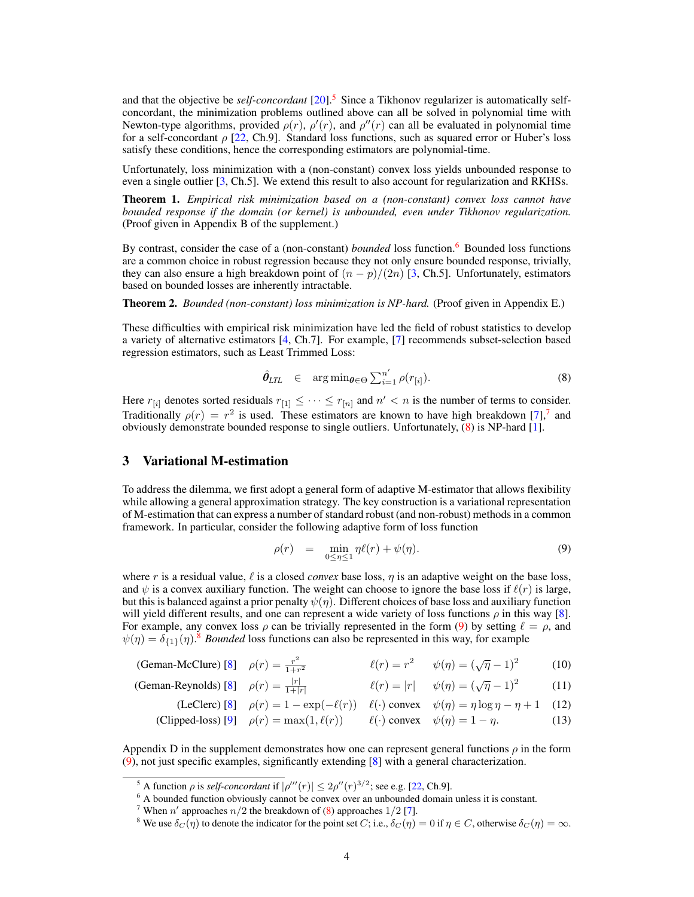and that the objective be *self-concordant* [20].5 Since a Tikhonov regularizer is automatically selfconcordant, the minimization problems outlined above can all be solved in polynomial time with Newton-type algorithms, provided  $\rho(r)$ ,  $\rho'(r)$ , and  $\rho''(r)$  can all be evaluated in polynomial time for a self-concordant  $\rho$  [22, Ch.9]. Standard loss functions, such as squared error or Huber's loss satisfy these conditions, hence the corresponding estimators are polynomial-time.

Unfortunately, loss minimization with a (non-constant) convex loss yields unbounded response to even a single outlier [3, Ch.5]. We extend this result to also account for regularization and RKHSs.

Theorem 1. *Empirical risk minimization based on a (non-constant) convex loss cannot have bounded response if the domain (or kernel) is unbounded, even under Tikhonov regularization.* (Proof given in Appendix B of the supplement.)

By contrast, consider the case of a (non-constant) *bounded* loss function.<sup>6</sup> Bounded loss functions are a common choice in robust regression because they not only ensure bounded response, trivially, they can also ensure a high breakdown point of  $(n - p)/(2n)$  [3, Ch.5]. Unfortunately, estimators based on bounded losses are inherently intractable.

Theorem 2. *Bounded (non-constant) loss minimization is NP-hard.* (Proof given in Appendix E.)

These difficulties with empirical risk minimization have led the field of robust statistics to develop a variety of alternative estimators [4, Ch.7]. For example, [7] recommends subset-selection based regression estimators, such as Least Trimmed Loss:

$$
\hat{\theta}_{LTL} \in \arg \min_{\theta \in \Theta} \sum_{i=1}^{n'} \rho(r_{[i]}). \tag{8}
$$

Here  $r_{[i]}$  denotes sorted residuals  $r_{[1]} \leq \cdots \leq r_{[n]}$  and  $n' < n$  is the number of terms to consider. Traditionally  $\rho(r) = r^2$  is used. These estimators are known to have high breakdown [7],<sup>7</sup> and obviously demonstrate bounded response to single outliers. Unfortunately, (8) is NP-hard [1].

## 3 Variational M-estimation

To address the dilemma, we first adopt a general form of adaptive M-estimator that allows flexibility while allowing a general approximation strategy. The key construction is a variational representation of M-estimation that can express a number of standard robust (and non-robust) methods in a common framework. In particular, consider the following adaptive form of loss function

$$
\rho(r) = \min_{0 \le \eta \le 1} \eta \ell(r) + \psi(\eta). \tag{9}
$$

where r is a residual value,  $\ell$  is a closed *convex* base loss,  $\eta$  is an adaptive weight on the base loss, and  $\psi$  is a convex auxiliary function. The weight can choose to ignore the base loss if  $\ell(r)$  is large, but this is balanced against a prior penalty  $\psi(\eta)$ . Different choices of base loss and auxiliary function will yield different results, and one can represent a wide variety of loss functions  $\rho$  in this way [8]. For example, any convex loss  $\rho$  can be trivially represented in the form (9) by setting  $\ell = \rho$ , and  $\psi(\eta) = \delta_{\{1\}}(\eta)$ .<sup>8</sup> *Bounded* loss functions can also be represented in this way, for example

| (Geman-McClure) [8] $\rho(r) = \frac{r^2}{1+r^2}$ |  |  | $\ell(r) = r^2$ $\psi(\eta) = (\sqrt{\eta} - 1)^2$ | (10) |
|---------------------------------------------------|--|--|----------------------------------------------------|------|
|---------------------------------------------------|--|--|----------------------------------------------------|------|

| (Geman-Reynolds) [8] $\rho(r) = \frac{ r }{1+ r }$ |  |  | $\ell(r) =  r $ $\psi(\eta) = (\sqrt{\eta} - 1)^2$ | (11) |
|----------------------------------------------------|--|--|----------------------------------------------------|------|
|----------------------------------------------------|--|--|----------------------------------------------------|------|

(LeClerc) [8] 
$$
\rho(r) = 1 - \exp(-\ell(r))
$$
  $\ell(\cdot)$  convex  $\psi(\eta) = \eta \log \eta - \eta + 1$  (12)  
(Clipped-loss) [9]  $\rho(r) = \max(1, \ell(r))$   $\ell(\cdot)$  convex  $\psi(\eta) = 1 - \eta$ . (13)

Appendix D in the supplement demonstrates how one can represent general functions  $\rho$  in the form (9), not just specific examples, significantly extending [8] with a general characterization.

<sup>&</sup>lt;sup>5</sup> A function  $\rho$  is *self-concordant* if  $|\rho'''(r)| \leq 2\rho''(r)^{3/2}$ ; see e.g. [22, Ch.9].

 $6$  A bounded function obviously cannot be convex over an unbounded domain unless it is constant.

<sup>&</sup>lt;sup>7</sup> When n' approaches  $n/2$  the breakdown of (8) approaches  $1/2$  [7].

<sup>&</sup>lt;sup>8</sup> We use  $\delta_C(\eta)$  to denote the indicator for the point set C; i.e.,  $\delta_C(\eta) = 0$  if  $\eta \in C$ , otherwise  $\delta_C(\eta) = \infty$ .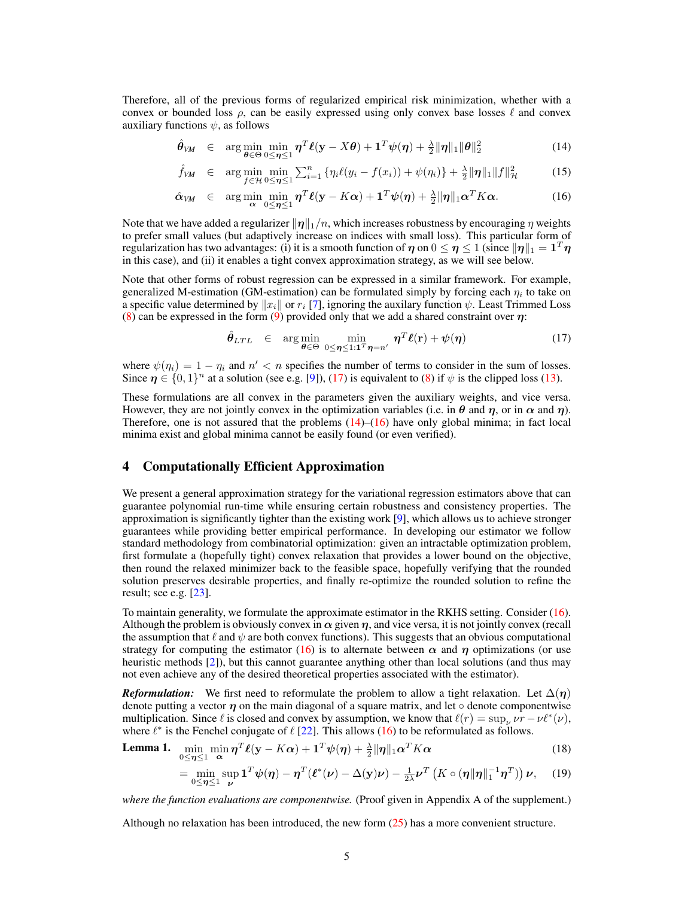Therefore, all of the previous forms of regularized empirical risk minimization, whether with a convex or bounded loss  $\rho$ , can be easily expressed using only convex base losses  $\ell$  and convex auxiliary functions  $\psi$ , as follows

$$
\hat{\theta}_{VM} \in \arg\min_{\theta \in \Theta} \min_{0 \leq \eta \leq 1} \eta^T \ell(\mathbf{y} - X\theta) + \mathbf{1}^T \psi(\eta) + \frac{\lambda}{2} \|\eta\|_1 \|\theta\|_2^2 \tag{14}
$$

$$
\hat{f}_{VM} \in \arg\min_{f \in \mathcal{H}} \min_{0 \le \eta \le 1} \sum_{i=1}^n \left\{ \eta_i \ell(y_i - f(x_i)) + \psi(\eta_i) \right\} + \frac{\lambda}{2} ||\eta||_1 ||f||^2_{\mathcal{H}}
$$
(15)

$$
\hat{\alpha}_{VM} \in \arg\min_{\mathbf{\alpha}} \min_{0 \leq \eta \leq 1} \eta^T \ell(\mathbf{y} - K\mathbf{\alpha}) + \mathbf{1}^T \psi(\eta) + \frac{\lambda}{2} \|\eta\|_1 \mathbf{\alpha}^T K \mathbf{\alpha}.
$$
 (16)

Note that we have added a regularizer  $\|\eta\|_1/n$ , which increases robustness by encouraging  $\eta$  weights to prefer small values (but adaptively increase on indices with small loss). This particular form of regularization has two advantages: (i) it is a smooth function of  $\eta$  on  $0 \le \eta \le 1$  (since  $\|\eta\|_1 = 1^T \eta$ in this case), and (ii) it enables a tight convex approximation strategy, as we will see below.

Note that other forms of robust regression can be expressed in a similar framework. For example, generalized M-estimation (GM-estimation) can be formulated simply by forcing each  $\eta_i$  to take on a specific value determined by  $||x_i||$  or  $r_i$  [7], ignoring the auxilary function  $\psi$ . Least Trimmed Loss (8) can be expressed in the form (9) provided only that we add a shared constraint over  $\eta$ :

$$
\hat{\theta}_{LTL} \in \arg\min_{\theta \in \Theta} \min_{0 \le \eta \le 1:1^T \eta = n'} \eta^T \ell(\mathbf{r}) + \psi(\eta) \tag{17}
$$

where  $\psi(\eta_i) = 1 - \eta_i$  and  $n' < n$  specifies the number of terms to consider in the sum of losses. Since  $\eta \in \{0,1\}^n$  at a solution (see e.g. [9]), (17) is equivalent to (8) if  $\psi$  is the clipped loss (13).

These formulations are all convex in the parameters given the auxiliary weights, and vice versa. However, they are not jointly convex in the optimization variables (i.e. in  $\theta$  and  $\eta$ , or in  $\alpha$  and  $\eta$ ). Therefore, one is not assured that the problems  $(14)$ – $(16)$  have only global minima; in fact local minima exist and global minima cannot be easily found (or even verified).

## 4 Computationally Efficient Approximation

We present a general approximation strategy for the variational regression estimators above that can guarantee polynomial run-time while ensuring certain robustness and consistency properties. The approximation is significantly tighter than the existing work [9], which allows us to achieve stronger guarantees while providing better empirical performance. In developing our estimator we follow standard methodology from combinatorial optimization: given an intractable optimization problem, first formulate a (hopefully tight) convex relaxation that provides a lower bound on the objective, then round the relaxed minimizer back to the feasible space, hopefully verifying that the rounded solution preserves desirable properties, and finally re-optimize the rounded solution to refine the result; see e.g. [23].

To maintain generality, we formulate the approximate estimator in the RKHS setting. Consider (16). Although the problem is obviously convex in  $\alpha$  given  $\eta$ , and vice versa, it is not jointly convex (recall the assumption that  $\ell$  and  $\psi$  are both convex functions). This suggests that an obvious computational strategy for computing the estimator (16) is to alternate between  $\alpha$  and  $\eta$  optimizations (or use heuristic methods [2]), but this cannot guarantee anything other than local solutions (and thus may not even achieve any of the desired theoretical properties associated with the estimator).

*Reformulation:* We first need to reformulate the problem to allow a tight relaxation. Let  $\Delta(\eta)$ denote putting a vector  $\eta$  on the main diagonal of a square matrix, and let  $\circ$  denote componentwise multiplication. Since  $\ell$  is closed and convex by assumption, we know that  $\ell(r) = \sup_{\nu} \nu r - \nu \ell^*(\nu)$ , where  $\ell^*$  is the Fenchel conjugate of  $\ell$  [22]. This allows (16) to be reformulated as follows.

Lemma 1.  $0 \leq \eta \leq 1$  α  $\min_{\mathbf{\alpha}} \mathbf{\eta}^T \mathbf{\ell}(\mathbf{y} - K\mathbf{\alpha}) + \mathbf{1}^T \mathbf{\psi}(\mathbf{\eta}) + \frac{\lambda}{2} ||\mathbf{\eta}||_1 \mathbf{\alpha}^T K\mathbf{\alpha}$  (18)

$$
= \min_{0 \leq \eta \leq 1} \sup_{\nu} \mathbf{1}^T \psi(\eta) - \eta^T (\ell^*(\nu) - \Delta(\mathbf{y})\nu) - \frac{1}{2\lambda} \nu^T \left( K \circ (\eta \|\eta\|_1^{-1} \eta^T) \right) \nu, \quad (19)
$$

*where the function evaluations are componentwise.* (Proof given in Appendix A of the supplement.)

Although no relaxation has been introduced, the new form (25) has a more convenient structure.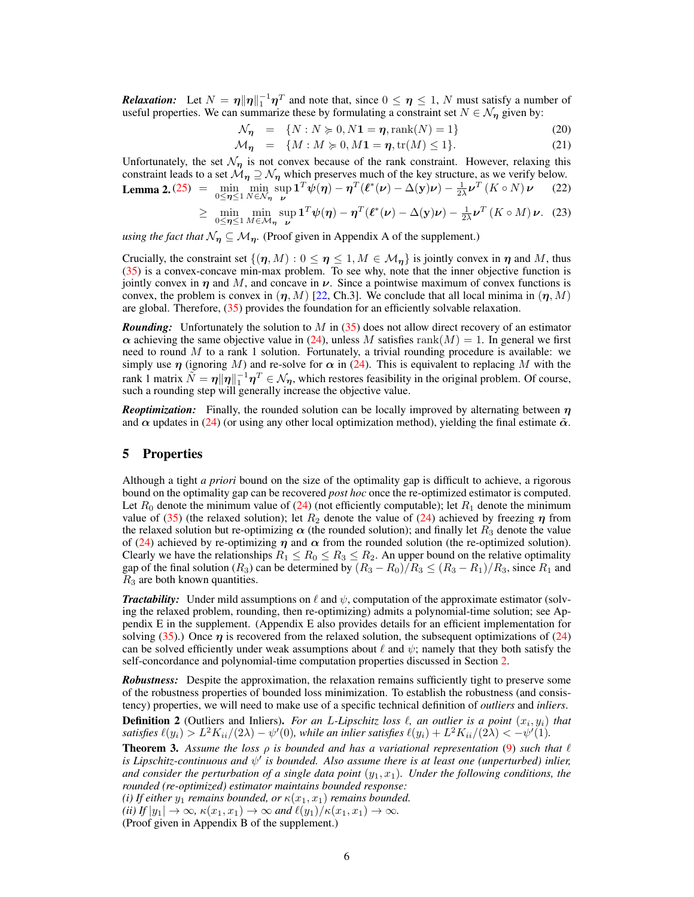**Relaxation:** Let  $N = \eta \|\eta\|_1^{-1} \eta^T$  and note that, since  $0 \le \eta \le 1$ , N must satisfy a number of useful properties. We can summarize these by formulating a constraint set  $N \in \mathcal{N}_n$  given by:

$$
\mathcal{N}_{\eta} = \{ N : N \geqslant 0, N \mathbf{1} = \eta, \text{rank}(N) = 1 \}
$$
\n
$$
(20)
$$

$$
\mathcal{M}_{\eta} = \{ M : M \succcurlyeq 0, M \mathbf{1} = \eta, \text{tr}(M) \le 1 \}. \tag{21}
$$

Unfortunately, the set  $\mathcal{N}_{\eta}$  is not convex because of the rank constraint. However, relaxing this constraint leads to a set  $\mathcal{M}_{\eta} \supseteq \mathcal{N}_{\eta}$  which preserves much of the key structure, as we verify below. **Lemma 2.** (25) =  $\min_{0 \le \eta \le 1} \min_{N \in \mathcal{N}_{\eta}} \sup_{\nu} \mathbf{1}^T \psi(\eta) - \eta^T (\ell^*(\nu) - \Delta(\mathbf{y}) \nu) - \frac{1}{2\lambda} \nu^T (K \circ N) \nu$  (22)

$$
\geq \min_{0 \leq \eta \leq 1} \min_{M \in \mathcal{M}_{\eta}} \sup_{\nu} \mathbf{1}^T \boldsymbol{\psi}(\eta) - \boldsymbol{\eta}^T (\boldsymbol{\ell}^*(\nu) - \Delta(\mathbf{y})\nu) - \frac{1}{2\lambda} \boldsymbol{\nu}^T (K \circ M) \nu. \tag{23}
$$

*using the fact that*  $\mathcal{N}_{\eta} \subseteq \mathcal{M}_{\eta}$ . (Proof given in Appendix A of the supplement.)

Crucially, the constraint set  $\{(\eta, M) : 0 \leq \eta \leq 1, M \in \mathcal{M}_\eta\}$  is jointly convex in  $\eta$  and M, thus (35) is a convex-concave min-max problem. To see why, note that the inner objective function is jointly convex in  $\eta$  and M, and concave in  $\nu$ . Since a pointwise maximum of convex functions is convex, the problem is convex in  $(\eta, M)$  [22, Ch.3]. We conclude that all local minima in  $(\eta, M)$ are global. Therefore, (35) provides the foundation for an efficiently solvable relaxation.

**Rounding:** Unfortunately the solution to M in (35) does not allow direct recovery of an estimator  $\alpha$  achieving the same objective value in (24), unless M satisfies rank(M) = 1. In general we first need to round  $M$  to a rank 1 solution. Fortunately, a trivial rounding procedure is available: we simply use  $\eta$  (ignoring M) and re-solve for  $\alpha$  in (24). This is equivalent to replacing M with the rank 1 matrix  $\tilde{N} = \eta \|\eta\|_1^{-1} \eta^T \in \mathcal{N}_{\eta}$ , which restores feasibility in the original problem. Of course, such a rounding step will generally increase the objective value.

*Reoptimization:* Finally, the rounded solution can be locally improved by alternating between  $\eta$ and  $\alpha$  updates in (24) (or using any other local optimization method), yielding the final estimate  $\tilde{\alpha}$ .

## 5 Properties

Although a tight *a priori* bound on the size of the optimality gap is difficult to achieve, a rigorous bound on the optimality gap can be recovered *post hoc* once the re-optimized estimator is computed. Let  $R_0$  denote the minimum value of (24) (not efficiently computable); let  $R_1$  denote the minimum value of (35) (the relaxed solution); let  $R_2$  denote the value of (24) achieved by freezing  $\eta$  from the relaxed solution but re-optimizing  $\alpha$  (the rounded solution); and finally let  $R_3$  denote the value of (24) achieved by re-optimizing  $\eta$  and  $\alpha$  from the rounded solution (the re-optimized solution). Clearly we have the relationships  $R_1 \leq R_0 \leq R_3 \leq R_2$ . An upper bound on the relative optimality gap of the final solution ( $R_3$ ) can be determined by  $(R_3 - R_0)/R_3 \le (R_3 - R_1)/R_3$ , since  $R_1$  and  $R_3$  are both known quantities.

*Tractability:* Under mild assumptions on  $\ell$  and  $\psi$ , computation of the approximate estimator (solving the relaxed problem, rounding, then re-optimizing) admits a polynomial-time solution; see Appendix E in the supplement. (Appendix E also provides details for an efficient implementation for solving (35).) Once  $\eta$  is recovered from the relaxed solution, the subsequent optimizations of (24) can be solved efficiently under weak assumptions about  $\ell$  and  $\psi$ ; namely that they both satisfy the self-concordance and polynomial-time computation properties discussed in Section 2.

*Robustness:* Despite the approximation, the relaxation remains sufficiently tight to preserve some of the robustness properties of bounded loss minimization. To establish the robustness (and consistency) properties, we will need to make use of a specific technical definition of *outliers* and *inliers*.

**Definition 2** (Outliers and Inliers). For an L-Lipschitz loss  $\ell$ , an outlier is a point  $(x_i, y_i)$  that satisfies  $\ell(y_i) > L^2 K_{ii}/(2\lambda) - \psi'(0)$ , while an inlier satisfies  $\ell(y_i) + L^2 K_{ii}/(2\lambda) < -\psi'(1)$ .

**Theorem 3.** Assume the loss  $\rho$  is bounded and has a variational representation (9) such that  $\ell$ *is Lipschitz-continuous and*  $\psi'$  is bounded. Also assume there is at least one (unperturbed) inlier, and consider the perturbation of a single data point  $(y_1, x_1)$ . Under the following conditions, the *rounded (re-optimized) estimator maintains bounded response: (i) If either*  $y_1$  *remains bounded, or*  $\kappa(x_1, x_1)$  *remains bounded.* 

*(ii)* If  $|y_1| \to \infty$ ,  $\kappa(x_1, x_1) \to \infty$  and  $\ell(y_1)/\kappa(x_1, x_1) \to \infty$ .

(Proof given in Appendix B of the supplement.)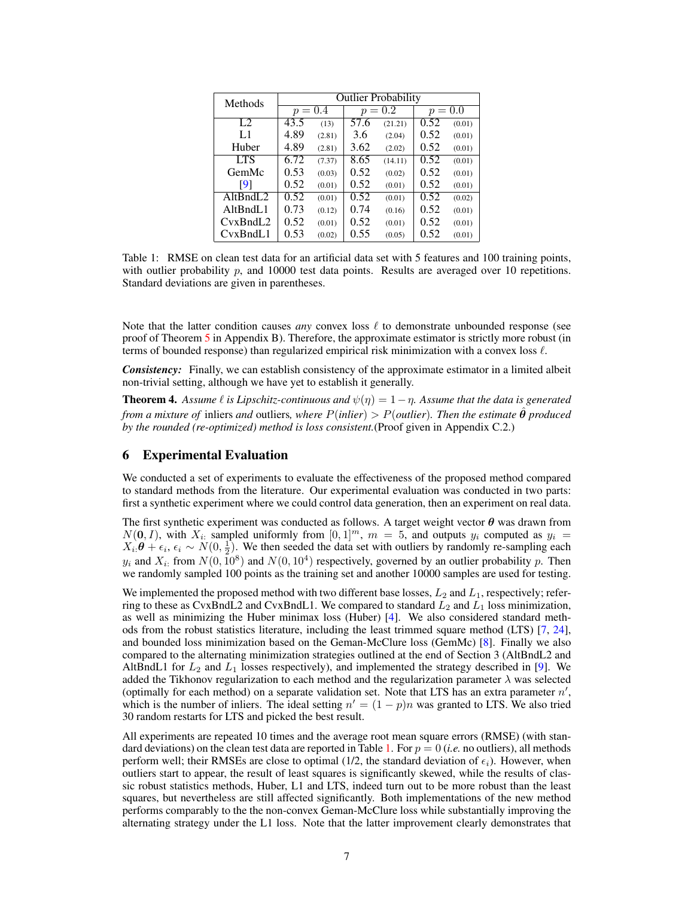| Methods    | <b>Outlier Probability</b> |        |              |         |              |        |
|------------|----------------------------|--------|--------------|---------|--------------|--------|
|            | $p = 0.4$                  |        | 0.2<br>$p =$ |         | 0.0<br>$p =$ |        |
| L2         | 43.5                       | (13)   | 57.6         | (21.21) | 0.52         | (0.01) |
| L1         | 4.89                       | (2.81) | 3.6          | (2.04)  | 0.52         | (0.01) |
| Huber      | 4.89                       | (2.81) | 3.62         | (2.02)  | 0.52         | (0.01) |
| <b>LTS</b> | 6.72                       | (7.37) | 8.65         | (14.11) | 0.52         | (0.01) |
| GemMc      | 0.53                       | (0.03) | 0.52         | (0.02)  | 0.52         | (0.01) |
| [9]        | 0.52                       | (0.01) | 0.52         | (0.01)  | 0.52         | (0.01) |
| AltBndL2   | 0.52                       | (0.01) | 0.52         | (0.01)  | 0.52         | (0.02) |
| AltBndL1   | 0.73                       | (0.12) | 0.74         | (0.16)  | 0.52         | (0.01) |
| CvxBndL2   | 0.52                       | (0.01) | 0.52         | (0.01)  | 0.52         | (0.01) |
| CvxBndL1   | 0.53                       | (0.02) | 0.55         | (0.05)  | 0.52         | (0.01) |

Table 1: RMSE on clean test data for an artificial data set with 5 features and 100 training points, with outlier probability  $p$ , and 10000 test data points. Results are averaged over 10 repetitions. Standard deviations are given in parentheses.

Note that the latter condition causes *any* convex loss  $\ell$  to demonstrate unbounded response (see proof of Theorem 5 in Appendix B). Therefore, the approximate estimator is strictly more robust (in terms of bounded response) than regularized empirical risk minimization with a convex loss  $\ell$ .

*Consistency:* Finally, we can establish consistency of the approximate estimator in a limited albeit non-trivial setting, although we have yet to establish it generally.

**Theorem 4.** Assume  $\ell$  is Lipschitz-continuous and  $\psi(\eta) = 1 - \eta$ . Assume that the data is generated *from a mixture of inliers and outliers, where*  $P(\text{inlier}) > P(\text{outlier})$ *. Then the estimate*  $\hat{\theta}$  *produced by the rounded (re-optimized) method is loss consistent.*(Proof given in Appendix C.2.)

## 6 Experimental Evaluation

We conducted a set of experiments to evaluate the effectiveness of the proposed method compared to standard methods from the literature. Our experimental evaluation was conducted in two parts: first a synthetic experiment where we could control data generation, then an experiment on real data.

The first synthetic experiment was conducted as follows. A target weight vector  $\theta$  was drawn from  $N(0, I)$ , with  $X_{i:}$  sampled uniformly from  $[0, 1]^m$ ,  $m = 5$ , and outputs  $y_i$  computed as  $y_i =$  $X_i$ : $\theta + \epsilon_i$ ,  $\epsilon_i \sim N(0, \frac{1}{2})$ . We then seeded the data set with outliers by randomly re-sampling each  $y_i$  and  $X_i$ : from  $N(0, 10^8)$  and  $N(0, 10^4)$  respectively, governed by an outlier probability p. Then we randomly sampled 100 points as the training set and another 10000 samples are used for testing.

We implemented the proposed method with two different base losses,  $L_2$  and  $L_1$ , respectively; referring to these as CvxBndL2 and CvxBndL1. We compared to standard  $L_2$  and  $L_1$  loss minimization, as well as minimizing the Huber minimax loss (Huber) [4]. We also considered standard methods from the robust statistics literature, including the least trimmed square method (LTS) [7, 24], and bounded loss minimization based on the Geman-McClure loss (GemMc) [8]. Finally we also compared to the alternating minimization strategies outlined at the end of Section 3 (AltBndL2 and AltBndL1 for  $L_2$  and  $L_1$  losses respectively), and implemented the strategy described in [9]. We added the Tikhonov regularization to each method and the regularization parameter  $\lambda$  was selected (optimally for each method) on a separate validation set. Note that LTS has an extra parameter  $n'$ , which is the number of inliers. The ideal setting  $n' = (1 - p)n$  was granted to LTS. We also tried 30 random restarts for LTS and picked the best result.

All experiments are repeated 10 times and the average root mean square errors (RMSE) (with standard deviations) on the clean test data are reported in Table 1. For  $p = 0$  (*i.e.* no outliers), all methods perform well; their RMSEs are close to optimal (1/2, the standard deviation of  $\epsilon_i$ ). However, when outliers start to appear, the result of least squares is significantly skewed, while the results of classic robust statistics methods, Huber, L1 and LTS, indeed turn out to be more robust than the least squares, but nevertheless are still affected significantly. Both implementations of the new method performs comparably to the the non-convex Geman-McClure loss while substantially improving the alternating strategy under the L1 loss. Note that the latter improvement clearly demonstrates that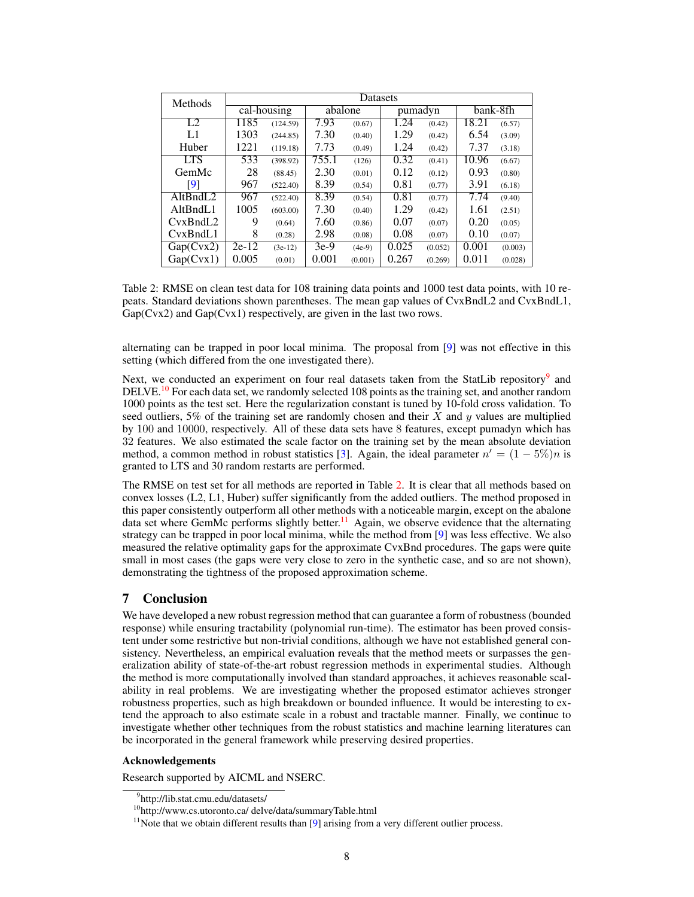| <b>Methods</b> | Datasets                        |           |         |          |         |         |          |         |
|----------------|---------------------------------|-----------|---------|----------|---------|---------|----------|---------|
|                | $\overline{\text{cal-housing}}$ |           | abalone |          | pumadyn |         | bank-8fh |         |
| L2             | 1185                            | (124.59)  | 7.93    | (0.67)   | 1.24    | (0.42)  | 18.21    | (6.57)  |
| L1             | 1303                            | (244.85)  | 7.30    | (0.40)   | 1.29    | (0.42)  | 6.54     | (3.09)  |
| Huber          | 1221                            | (119.18)  | 7.73    | (0.49)   | 1.24    | (0.42)  | 7.37     | (3.18)  |
| <b>LTS</b>     | 533                             | (398.92)  | 755.1   | (126)    | 0.32    | (0.41)  | 10.96    | (6.67)  |
| GemMc          | 28                              | (88.45)   | 2.30    | (0.01)   | 0.12    | (0.12)  | 0.93     | (0.80)  |
| [9]            | 967                             | (522.40)  | 8.39    | (0.54)   | 0.81    | (0.77)  | 3.91     | (6.18)  |
| AltBndL2       | 967                             | (522.40)  | 8.39    | (0.54)   | 0.81    | (0.77)  | 7.74     | (9.40)  |
| AltBndL1       | 1005                            | (603.00)  | 7.30    | (0.40)   | 1.29    | (0.42)  | 1.61     | (2.51)  |
| CvxBndL2       | 9                               | (0.64)    | 7.60    | (0.86)   | 0.07    | (0.07)  | 0.20     | (0.05)  |
| CvxBndL1       | 8                               | (0.28)    | 2.98    | (0.08)   | 0.08    | (0.07)  | 0.10     | (0.07)  |
| Gap(Cvx2)      | $2e-12$                         | $(3e-12)$ | $3e-9$  | $(4e-9)$ | 0.025   | (0.052) | 0.001    | (0.003) |
| Gap(Cvx1)      | 0.005                           | (0.01)    | 0.001   | (0.001)  | 0.267   | (0.269) | 0.011    | (0.028) |

Table 2: RMSE on clean test data for 108 training data points and 1000 test data points, with 10 repeats. Standard deviations shown parentheses. The mean gap values of CvxBndL2 and CvxBndL1, Gap(Cvx2) and Gap(Cvx1) respectively, are given in the last two rows.

alternating can be trapped in poor local minima. The proposal from [9] was not effective in this setting (which differed from the one investigated there).

Next, we conducted an experiment on four real datasets taken from the StatLib repository<sup>9</sup> and DELVE.<sup>10</sup> For each data set, we randomly selected 108 points as the training set, and another random 1000 points as the test set. Here the regularization constant is tuned by 10-fold cross validation. To seed outliers, 5% of the training set are randomly chosen and their  $X$  and  $y$  values are multiplied by 100 and 10000, respectively. All of these data sets have 8 features, except pumadyn which has 32 features. We also estimated the scale factor on the training set by the mean absolute deviation method, a common method in robust statistics [3]. Again, the ideal parameter  $n' = (1 - 5\%)n$  is granted to LTS and 30 random restarts are performed.

The RMSE on test set for all methods are reported in Table 2. It is clear that all methods based on convex losses (L2, L1, Huber) suffer significantly from the added outliers. The method proposed in this paper consistently outperform all other methods with a noticeable margin, except on the abalone data set where GemMc performs slightly better.<sup>11</sup> Again, we observe evidence that the alternating strategy can be trapped in poor local minima, while the method from [9] was less effective. We also measured the relative optimality gaps for the approximate CvxBnd procedures. The gaps were quite small in most cases (the gaps were very close to zero in the synthetic case, and so are not shown), demonstrating the tightness of the proposed approximation scheme.

# 7 Conclusion

We have developed a new robust regression method that can guarantee a form of robustness (bounded response) while ensuring tractability (polynomial run-time). The estimator has been proved consistent under some restrictive but non-trivial conditions, although we have not established general consistency. Nevertheless, an empirical evaluation reveals that the method meets or surpasses the generalization ability of state-of-the-art robust regression methods in experimental studies. Although the method is more computationally involved than standard approaches, it achieves reasonable scalability in real problems. We are investigating whether the proposed estimator achieves stronger robustness properties, such as high breakdown or bounded influence. It would be interesting to extend the approach to also estimate scale in a robust and tractable manner. Finally, we continue to investigate whether other techniques from the robust statistics and machine learning literatures can be incorporated in the general framework while preserving desired properties.

#### Acknowledgements

Research supported by AICML and NSERC.

<sup>9</sup> http://lib.stat.cmu.edu/datasets/

<sup>10</sup>http://www.cs.utoronto.ca/ delve/data/summaryTable.html

<sup>&</sup>lt;sup>11</sup>Note that we obtain different results than  $[9]$  arising from a very different outlier process.